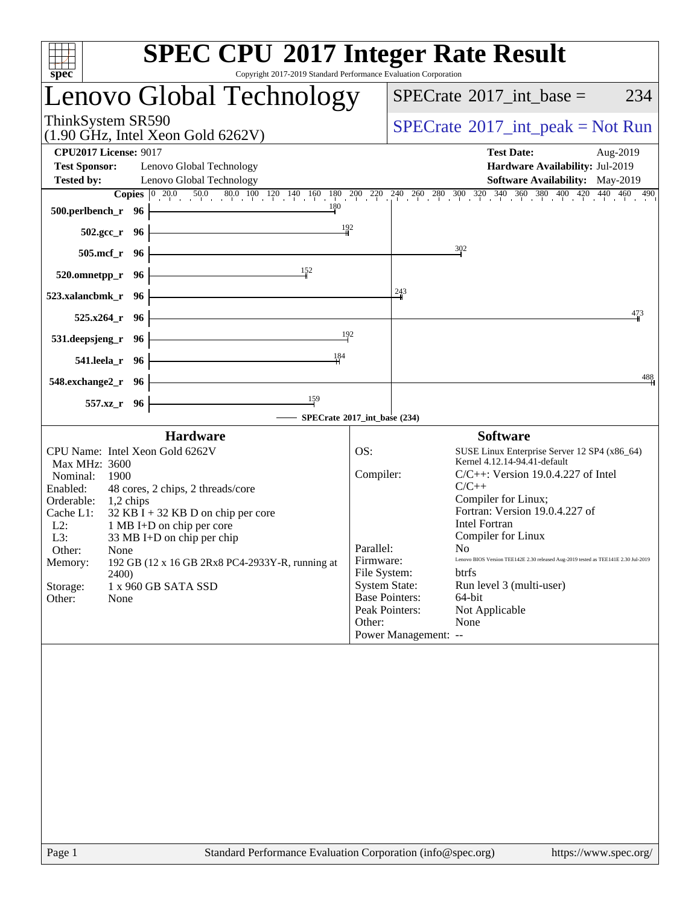| <b>SPEC CPU®2017 Integer Rate Result</b><br>Copyright 2017-2019 Standard Performance Evaluation Corporation<br>spec <sup>®</sup>                                                                                                                                                                                                                                                                                                                           |                                                                      |                                                                                                                                                                                                                                                                                                                                                                                                                                                                                                                            |
|------------------------------------------------------------------------------------------------------------------------------------------------------------------------------------------------------------------------------------------------------------------------------------------------------------------------------------------------------------------------------------------------------------------------------------------------------------|----------------------------------------------------------------------|----------------------------------------------------------------------------------------------------------------------------------------------------------------------------------------------------------------------------------------------------------------------------------------------------------------------------------------------------------------------------------------------------------------------------------------------------------------------------------------------------------------------------|
| Lenovo Global Technology                                                                                                                                                                                                                                                                                                                                                                                                                                   |                                                                      | $SPECrate^{\circ}2017\_int\_base =$<br>234                                                                                                                                                                                                                                                                                                                                                                                                                                                                                 |
| ThinkSystem SR590<br>$(1.90$ GHz, Intel Xeon Gold 6262V)                                                                                                                                                                                                                                                                                                                                                                                                   |                                                                      | $SPECrate^{\circledast}2017\_int\_peak = Not Run$                                                                                                                                                                                                                                                                                                                                                                                                                                                                          |
| <b>CPU2017 License: 9017</b><br><b>Test Sponsor:</b><br>Lenovo Global Technology<br><b>Tested by:</b><br>Lenovo Global Technology                                                                                                                                                                                                                                                                                                                          |                                                                      | <b>Test Date:</b><br>Aug-2019<br>Hardware Availability: Jul-2019<br>Software Availability: May-2019<br><b>Copies</b> $\begin{bmatrix} 0 & 20.0 & 50.0 & 80.0 & 100 & 120 & 140 & 160 & 180 & 200 & 220 & 240 & 260 & 280 & 300 & 320 & 340 & 360 & 380 & 400 & 420 & 440 & 460 & 490 \end{bmatrix}$                                                                                                                                                                                                                        |
| 500.perlbench_r 96                                                                                                                                                                                                                                                                                                                                                                                                                                         |                                                                      |                                                                                                                                                                                                                                                                                                                                                                                                                                                                                                                            |
| $502.\text{sec}_r$ 96                                                                                                                                                                                                                                                                                                                                                                                                                                      | 192                                                                  |                                                                                                                                                                                                                                                                                                                                                                                                                                                                                                                            |
| $505$ .mcf_r<br>- 96                                                                                                                                                                                                                                                                                                                                                                                                                                       |                                                                      | $\frac{302}{2}$                                                                                                                                                                                                                                                                                                                                                                                                                                                                                                            |
| 152<br>520.omnetpp_r<br>- 96                                                                                                                                                                                                                                                                                                                                                                                                                               |                                                                      |                                                                                                                                                                                                                                                                                                                                                                                                                                                                                                                            |
| 523.xalancbmk_r 96                                                                                                                                                                                                                                                                                                                                                                                                                                         |                                                                      | $\frac{243}{9}$                                                                                                                                                                                                                                                                                                                                                                                                                                                                                                            |
| $525.x264_r$ 96                                                                                                                                                                                                                                                                                                                                                                                                                                            |                                                                      | 473                                                                                                                                                                                                                                                                                                                                                                                                                                                                                                                        |
| <u> 1980 - Johann Barbara, martxa a</u><br>531.deepsjeng_r<br>- 96                                                                                                                                                                                                                                                                                                                                                                                         | 192                                                                  |                                                                                                                                                                                                                                                                                                                                                                                                                                                                                                                            |
| 184<br>541.leela_r 96                                                                                                                                                                                                                                                                                                                                                                                                                                      |                                                                      |                                                                                                                                                                                                                                                                                                                                                                                                                                                                                                                            |
| 548.exchange2_r 96                                                                                                                                                                                                                                                                                                                                                                                                                                         |                                                                      | 488                                                                                                                                                                                                                                                                                                                                                                                                                                                                                                                        |
| $\frac{159}{2}$<br>557.xz_r 96                                                                                                                                                                                                                                                                                                                                                                                                                             |                                                                      |                                                                                                                                                                                                                                                                                                                                                                                                                                                                                                                            |
| - SPECrate®2017_int_base (234)                                                                                                                                                                                                                                                                                                                                                                                                                             |                                                                      |                                                                                                                                                                                                                                                                                                                                                                                                                                                                                                                            |
| <b>Hardware</b><br>CPU Name: Intel Xeon Gold 6262V<br>Max MHz: 3600<br>Nominal:<br>1900<br>Enabled:<br>48 cores, 2 chips, 2 threads/core<br>Orderable:<br>$1,2$ chips<br>$32$ KB I + 32 KB D on chip per core<br>Cache L1:<br>$L2$ :<br>1 MB I+D on chip per core<br>L3:<br>33 MB I+D on chip per chip<br>Other:<br>None<br>Memory:<br>192 GB (12 x 16 GB 2Rx8 PC4-2933Y-R, running at<br><b>2400</b><br>1 x 960 GB SATA SSD<br>Storage:<br>Other:<br>None | OS:<br>Compiler:<br>Parallel:<br>Firmware:<br>File System:<br>Other: | <b>Software</b><br>SUSE Linux Enterprise Server 12 SP4 (x86_64)<br>Kernel 4.12.14-94.41-default<br>$C/C++$ : Version 19.0.4.227 of Intel<br>$C/C++$<br>Compiler for Linux;<br>Fortran: Version 19.0.4.227 of<br><b>Intel Fortran</b><br>Compiler for Linux<br>No<br>Lenovo BIOS Version TEE142E 2.30 released Aug-2019 tested as TEE141E 2.30 Jul-2019<br>btrfs<br><b>System State:</b><br>Run level 3 (multi-user)<br><b>Base Pointers:</b><br>64-bit<br>Peak Pointers:<br>Not Applicable<br>None<br>Power Management: -- |
|                                                                                                                                                                                                                                                                                                                                                                                                                                                            |                                                                      |                                                                                                                                                                                                                                                                                                                                                                                                                                                                                                                            |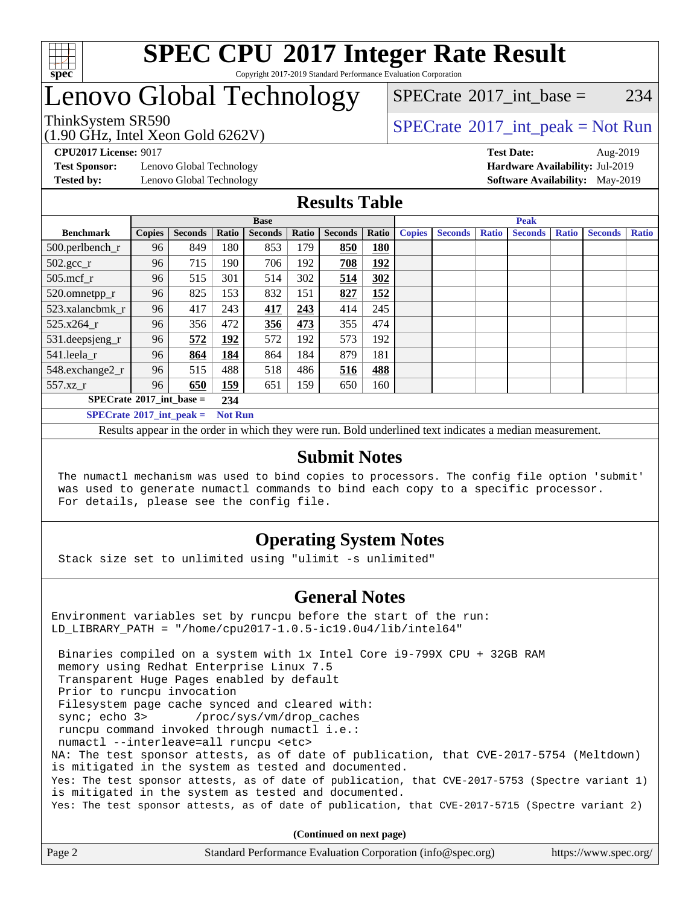

#### **[SPEC CPU](http://www.spec.org/auto/cpu2017/Docs/result-fields.html#SPECCPU2017IntegerRateResult)[2017 Integer Rate Result](http://www.spec.org/auto/cpu2017/Docs/result-fields.html#SPECCPU2017IntegerRateResult)** Copyright 2017-2019 Standard Performance Evaluation Corporation

### Lenovo Global Technology

ThinkSystem SR590<br>  $\begin{array}{c}\n\text{SPECTB} \text{1} & \text{SPECTB} \\
\text{SPECTB} & \text{SOLUTION} \\
\end{array}$ [SPECrate](http://www.spec.org/auto/cpu2017/Docs/result-fields.html#SPECrate2017intbase)<sup>®</sup>2017 int base = 234

(1.90 GHz, Intel Xeon Gold 6262V)

**[Test Sponsor:](http://www.spec.org/auto/cpu2017/Docs/result-fields.html#TestSponsor)** Lenovo Global Technology **[Hardware Availability:](http://www.spec.org/auto/cpu2017/Docs/result-fields.html#HardwareAvailability)** Jul-2019

**[CPU2017 License:](http://www.spec.org/auto/cpu2017/Docs/result-fields.html#CPU2017License)** 9017 **[Test Date:](http://www.spec.org/auto/cpu2017/Docs/result-fields.html#TestDate)** Aug-2019 **[Tested by:](http://www.spec.org/auto/cpu2017/Docs/result-fields.html#Testedby)** Lenovo Global Technology **[Software Availability:](http://www.spec.org/auto/cpu2017/Docs/result-fields.html#SoftwareAvailability)** May-2019

### **[Results Table](http://www.spec.org/auto/cpu2017/Docs/result-fields.html#ResultsTable)**

|                                          | <b>Base</b>   |                |                |                |              |                | <b>Peak</b> |               |                |              |                |              |                |              |
|------------------------------------------|---------------|----------------|----------------|----------------|--------------|----------------|-------------|---------------|----------------|--------------|----------------|--------------|----------------|--------------|
| <b>Benchmark</b>                         | <b>Copies</b> | <b>Seconds</b> | Ratio          | <b>Seconds</b> | <b>Ratio</b> | <b>Seconds</b> | Ratio       | <b>Copies</b> | <b>Seconds</b> | <b>Ratio</b> | <b>Seconds</b> | <b>Ratio</b> | <b>Seconds</b> | <b>Ratio</b> |
| 500.perlbench_r                          | 96            | 849            | 180            | 853            | 179          | 850            | <b>180</b>  |               |                |              |                |              |                |              |
| $502.\text{gcc}$ _r                      | 96            | 715            | 190            | 706            | 192          | 708            | 192         |               |                |              |                |              |                |              |
| $505$ .mcf r                             | 96            | 515            | 301            | 514            | 302          | 514            | 302         |               |                |              |                |              |                |              |
| 520.omnetpp_r                            | 96            | 825            | 153            | 832            | 151          | 827            | 152         |               |                |              |                |              |                |              |
| 523.xalancbmk r                          | 96            | 417            | 243            | 417            | 243          | 414            | 245         |               |                |              |                |              |                |              |
| 525.x264 r                               | 96            | 356            | 472            | 356            | 473          | 355            | 474         |               |                |              |                |              |                |              |
| 531.deepsjeng_r                          | 96            | 572            | 192            | 572            | 192          | 573            | 192         |               |                |              |                |              |                |              |
| 541.leela r                              | 96            | 864            | 184            | 864            | 184          | 879            | 181         |               |                |              |                |              |                |              |
| 548.exchange2_r                          | 96            | 515            | 488            | 518            | 486          | 516            | 488         |               |                |              |                |              |                |              |
| 557.xz                                   | 96            | 650            | 159            | 651            | 159          | 650            | 160         |               |                |              |                |              |                |              |
| $SPECrate^{\circ}2017$ int base =<br>234 |               |                |                |                |              |                |             |               |                |              |                |              |                |              |
| $SPECrate^{\circ}2017$ int peak =        |               |                | <b>Not Run</b> |                |              |                |             |               |                |              |                |              |                |              |

Results appear in the [order in which they were run](http://www.spec.org/auto/cpu2017/Docs/result-fields.html#RunOrder). Bold underlined text [indicates a median measurement](http://www.spec.org/auto/cpu2017/Docs/result-fields.html#Median).

### **[Submit Notes](http://www.spec.org/auto/cpu2017/Docs/result-fields.html#SubmitNotes)**

 The numactl mechanism was used to bind copies to processors. The config file option 'submit' was used to generate numactl commands to bind each copy to a specific processor. For details, please see the config file.

### **[Operating System Notes](http://www.spec.org/auto/cpu2017/Docs/result-fields.html#OperatingSystemNotes)**

Stack size set to unlimited using "ulimit -s unlimited"

### **[General Notes](http://www.spec.org/auto/cpu2017/Docs/result-fields.html#GeneralNotes)**

Environment variables set by runcpu before the start of the run: LD\_LIBRARY\_PATH = "/home/cpu2017-1.0.5-ic19.0u4/lib/intel64"

 Binaries compiled on a system with 1x Intel Core i9-799X CPU + 32GB RAM memory using Redhat Enterprise Linux 7.5 Transparent Huge Pages enabled by default Prior to runcpu invocation Filesystem page cache synced and cleared with: sync; echo 3> /proc/sys/vm/drop\_caches runcpu command invoked through numactl i.e.: numactl --interleave=all runcpu <etc> NA: The test sponsor attests, as of date of publication, that CVE-2017-5754 (Meltdown) is mitigated in the system as tested and documented. Yes: The test sponsor attests, as of date of publication, that CVE-2017-5753 (Spectre variant 1) is mitigated in the system as tested and documented. Yes: The test sponsor attests, as of date of publication, that CVE-2017-5715 (Spectre variant 2)

**(Continued on next page)**

| Page 2<br>Standard Performance Evaluation Corporation (info@spec.org)<br>https://www.spec.org/ |
|------------------------------------------------------------------------------------------------|
|------------------------------------------------------------------------------------------------|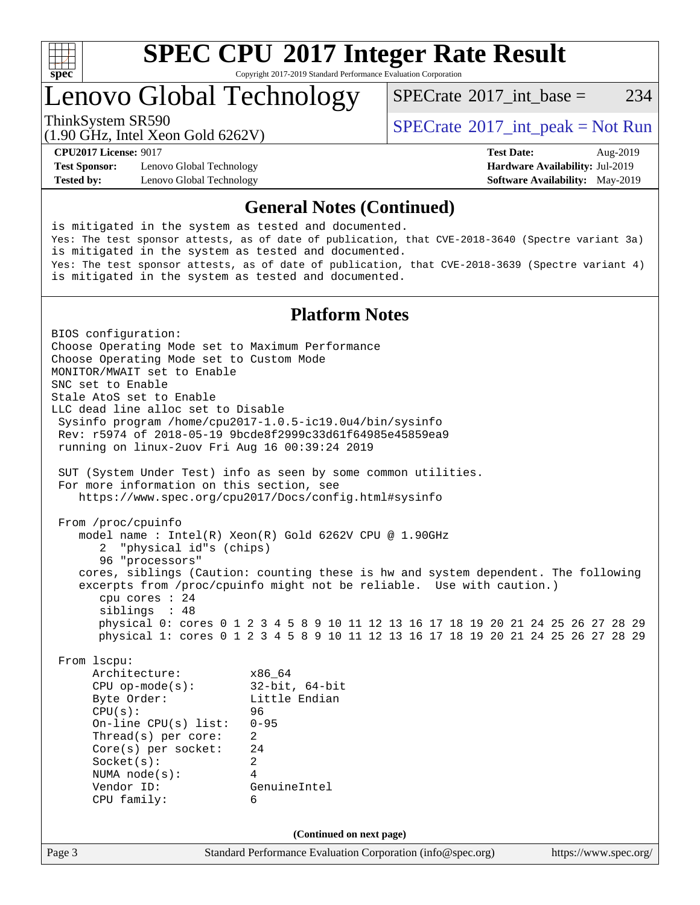

Copyright 2017-2019 Standard Performance Evaluation Corporation

### Lenovo Global Technology

[SPECrate](http://www.spec.org/auto/cpu2017/Docs/result-fields.html#SPECrate2017intbase)<sup>®</sup>2017 int base = 234

(1.90 GHz, Intel Xeon Gold 6262V)

ThinkSystem SR590<br>  $\begin{array}{c}\n\text{SPECrate} \textcirc 2017\_int\_peak = Not Run \\
\text{SPECrate} \textcirc 2017\_int\_peak = Not Run\n\end{array}$  $\begin{array}{c}\n\text{SPECrate} \textcirc 2017\_int\_peak = Not Run \\
\text{SPECrate} \textcirc 2017\_int\_peak = Not Run\n\end{array}$  $\begin{array}{c}\n\text{SPECrate} \textcirc 2017\_int\_peak = Not Run \\
\text{SPECrate} \textcirc 2017\_int\_peak = Not Run\n\end{array}$ 

**[Test Sponsor:](http://www.spec.org/auto/cpu2017/Docs/result-fields.html#TestSponsor)** Lenovo Global Technology **[Hardware Availability:](http://www.spec.org/auto/cpu2017/Docs/result-fields.html#HardwareAvailability)** Jul-2019 **[Tested by:](http://www.spec.org/auto/cpu2017/Docs/result-fields.html#Testedby)** Lenovo Global Technology **[Software Availability:](http://www.spec.org/auto/cpu2017/Docs/result-fields.html#SoftwareAvailability)** May-2019

**[CPU2017 License:](http://www.spec.org/auto/cpu2017/Docs/result-fields.html#CPU2017License)** 9017 **[Test Date:](http://www.spec.org/auto/cpu2017/Docs/result-fields.html#TestDate)** Aug-2019

#### **[General Notes \(Continued\)](http://www.spec.org/auto/cpu2017/Docs/result-fields.html#GeneralNotes)**

is mitigated in the system as tested and documented. Yes: The test sponsor attests, as of date of publication, that CVE-2018-3640 (Spectre variant 3a) is mitigated in the system as tested and documented. Yes: The test sponsor attests, as of date of publication, that CVE-2018-3639 (Spectre variant 4) is mitigated in the system as tested and documented.

### **[Platform Notes](http://www.spec.org/auto/cpu2017/Docs/result-fields.html#PlatformNotes)**

Page 3 Standard Performance Evaluation Corporation [\(info@spec.org\)](mailto:info@spec.org) <https://www.spec.org/> BIOS configuration: Choose Operating Mode set to Maximum Performance Choose Operating Mode set to Custom Mode MONITOR/MWAIT set to Enable SNC set to Enable Stale AtoS set to Enable LLC dead line alloc set to Disable Sysinfo program /home/cpu2017-1.0.5-ic19.0u4/bin/sysinfo Rev: r5974 of 2018-05-19 9bcde8f2999c33d61f64985e45859ea9 running on linux-2uov Fri Aug 16 00:39:24 2019 SUT (System Under Test) info as seen by some common utilities. For more information on this section, see <https://www.spec.org/cpu2017/Docs/config.html#sysinfo> From /proc/cpuinfo model name : Intel(R) Xeon(R) Gold 6262V CPU @ 1.90GHz 2 "physical id"s (chips) 96 "processors" cores, siblings (Caution: counting these is hw and system dependent. The following excerpts from /proc/cpuinfo might not be reliable. Use with caution.) cpu cores : 24 siblings : 48 physical 0: cores 0 1 2 3 4 5 8 9 10 11 12 13 16 17 18 19 20 21 24 25 26 27 28 29 physical 1: cores 0 1 2 3 4 5 8 9 10 11 12 13 16 17 18 19 20 21 24 25 26 27 28 29 From lscpu: Architecture: x86\_64 CPU op-mode(s): 32-bit, 64-bit Byte Order: Little Endian CPU(s): 96 On-line CPU(s) list: 0-95 Thread(s) per core: 2 Core(s) per socket: 24 Socket(s): 2 NUMA node(s): 4 Vendor ID: GenuineIntel CPU family: 6 **(Continued on next page)**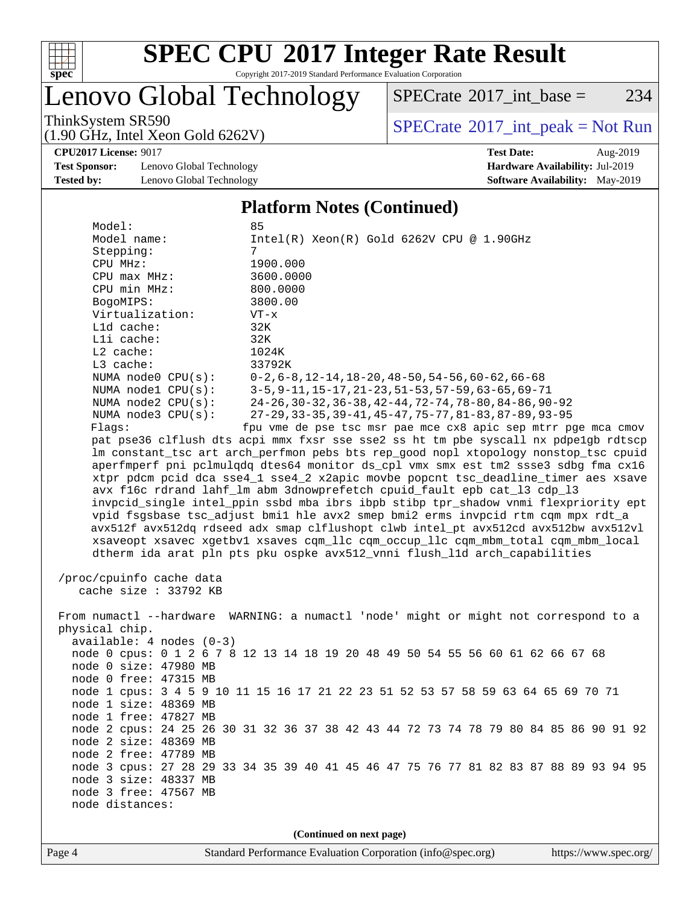

Copyright 2017-2019 Standard Performance Evaluation Corporation

### Lenovo Global Technology

 $SPECTate$ <sup>®</sup>[2017\\_int\\_base =](http://www.spec.org/auto/cpu2017/Docs/result-fields.html#SPECrate2017intbase) 234

(1.90 GHz, Intel Xeon Gold 6262V)

ThinkSystem SR590<br>(1.00 GHz, Intel Year Gald 6262V) [SPECrate](http://www.spec.org/auto/cpu2017/Docs/result-fields.html#SPECrate2017intpeak)®[2017\\_int\\_peak = N](http://www.spec.org/auto/cpu2017/Docs/result-fields.html#SPECrate2017intpeak)ot Run

**[Test Sponsor:](http://www.spec.org/auto/cpu2017/Docs/result-fields.html#TestSponsor)** Lenovo Global Technology **[Hardware Availability:](http://www.spec.org/auto/cpu2017/Docs/result-fields.html#HardwareAvailability)** Jul-2019 **[Tested by:](http://www.spec.org/auto/cpu2017/Docs/result-fields.html#Testedby)** Lenovo Global Technology **[Software Availability:](http://www.spec.org/auto/cpu2017/Docs/result-fields.html#SoftwareAvailability)** May-2019

**[CPU2017 License:](http://www.spec.org/auto/cpu2017/Docs/result-fields.html#CPU2017License)** 9017 **[Test Date:](http://www.spec.org/auto/cpu2017/Docs/result-fields.html#TestDate)** Aug-2019

#### **[Platform Notes \(Continued\)](http://www.spec.org/auto/cpu2017/Docs/result-fields.html#PlatformNotes)**

| Model:                     | 85                                                                                   |
|----------------------------|--------------------------------------------------------------------------------------|
| Model name:                | $Intel(R) Xeon(R) Gold 6262V CPU @ 1.90GHz$                                          |
| Stepping:                  | 7                                                                                    |
| CPU MHz:                   | 1900.000                                                                             |
| CPU max MHz:               | 3600.0000                                                                            |
| CPU min MHz:               | 800.0000                                                                             |
| BogoMIPS:                  | 3800.00                                                                              |
| Virtualization:            | $VT - x$                                                                             |
| Lld cache:                 | 32K                                                                                  |
| Lli cache:                 | 32K                                                                                  |
| $L2$ cache:                | 1024K                                                                                |
| L3 cache:                  | 33792K                                                                               |
| NUMA node0 CPU(s):         | $0-2, 6-8, 12-14, 18-20, 48-50, 54-56, 60-62, 66-68$                                 |
| NUMA nodel $CPU(s):$       | 3-5, 9-11, 15-17, 21-23, 51-53, 57-59, 63-65, 69-71                                  |
| NUMA node2 CPU(s):         | 24-26, 30-32, 36-38, 42-44, 72-74, 78-80, 84-86, 90-92                               |
| NUMA $node3$ CPU $(s)$ :   | 27-29, 33-35, 39-41, 45-47, 75-77, 81-83, 87-89, 93-95                               |
| Flags:                     | fpu vme de pse tsc msr pae mce cx8 apic sep mtrr pge mca cmov                        |
|                            | pat pse36 clflush dts acpi mmx fxsr sse sse2 ss ht tm pbe syscall nx pdpelgb rdtscp  |
|                            | lm constant_tsc art arch_perfmon pebs bts rep_good nopl xtopology nonstop_tsc cpuid  |
|                            | aperfmperf pni pclmulqdq dtes64 monitor ds_cpl vmx smx est tm2 ssse3 sdbg fma cx16   |
|                            | xtpr pdcm pcid dca sse4_1 sse4_2 x2apic movbe popcnt tsc_deadline_timer aes xsave    |
|                            | avx f16c rdrand lahf_lm abm 3dnowprefetch cpuid_fault epb cat_13 cdp_13              |
|                            | invpcid_single intel_ppin ssbd mba ibrs ibpb stibp tpr_shadow vnmi flexpriority ept  |
|                            | vpid fsgsbase tsc_adjust bmil hle avx2 smep bmi2 erms invpcid rtm cqm mpx rdt_a      |
|                            | avx512f avx512dq rdseed adx smap clflushopt clwb intel_pt avx512cd avx512bw avx512vl |
|                            | xsaveopt xsavec xgetbvl xsaves cqm_llc cqm_occup_llc cqm_mbm_total cqm_mbm_local     |
|                            | dtherm ida arat pln pts pku ospke avx512_vnni flush_lld arch_capabilities            |
| /proc/cpuinfo cache data   |                                                                                      |
| cache size : 33792 KB      |                                                                                      |
|                            |                                                                                      |
|                            | From numactl --hardware WARNING: a numactl 'node' might or might not correspond to a |
| physical chip.             |                                                                                      |
| $available: 4 nodes (0-3)$ |                                                                                      |
|                            | node 0 cpus: 0 1 2 6 7 8 12 13 14 18 19 20 48 49 50 54 55 56 60 61 62 66 67 68       |
| node 0 size: 47980 MB      |                                                                                      |
| node 0 free: 47315 MB      |                                                                                      |
|                            | node 1 cpus: 3 4 5 9 10 11 15 16 17 21 22 23 51 52 53 57 58 59 63 64 65 69 70 71     |
| node 1 size: 48369 MB      |                                                                                      |
| node 1 free: 47827 MB      |                                                                                      |
|                            | node 2 cpus: 24 25 26 30 31 32 36 37 38 42 43 44 72 73 74 78 79 80 84 85 86 90 91 92 |
| node 2 size: 48369 MB      |                                                                                      |
| node 2 free: 47789 MB      |                                                                                      |
|                            | node 3 cpus: 27 28 29 33 34 35 39 40 41 45 46 47 75 76 77 81 82 83 87 88 89 93 94 95 |
| node 3 size: 48337 MB      |                                                                                      |
| node 3 free: 47567 MB      |                                                                                      |
| node distances:            |                                                                                      |
|                            |                                                                                      |

**(Continued on next page)**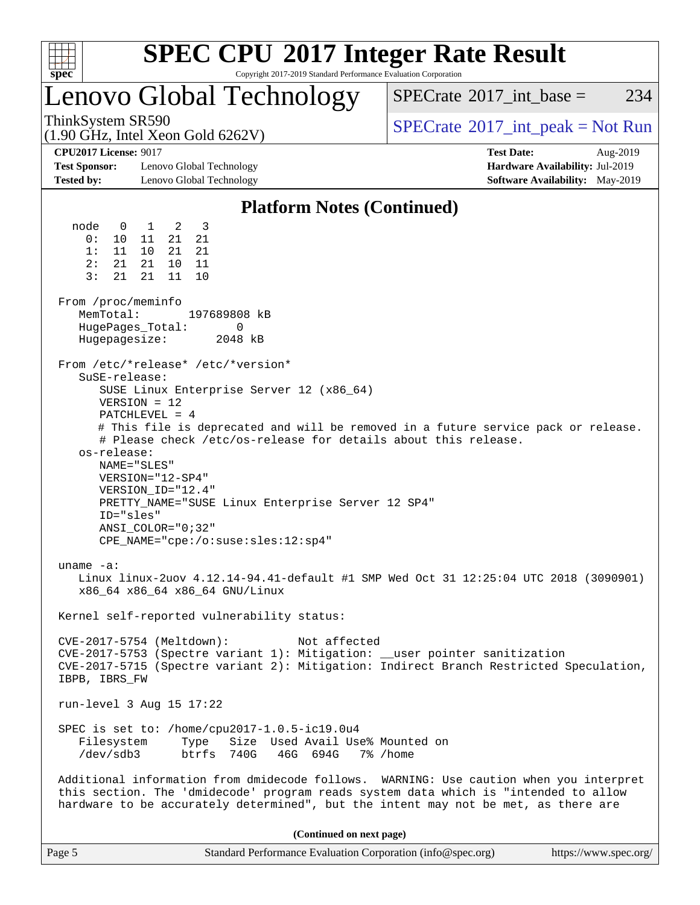

Copyright 2017-2019 Standard Performance Evaluation Corporation

### Lenovo Global Technology

 $SPECTate$ <sup>®</sup>[2017\\_int\\_base =](http://www.spec.org/auto/cpu2017/Docs/result-fields.html#SPECrate2017intbase) 234

(1.90 GHz, Intel Xeon Gold 6262V)

ThinkSystem SR590<br>  $\begin{array}{c}\n\text{SPECTB} \text{1} & \text{SPECTB} \\
\text{SPECTB} & \text{SOLUTION} \\
\end{array}$ 

**[CPU2017 License:](http://www.spec.org/auto/cpu2017/Docs/result-fields.html#CPU2017License)** 9017 **[Test Date:](http://www.spec.org/auto/cpu2017/Docs/result-fields.html#TestDate)** Aug-2019

**[Test Sponsor:](http://www.spec.org/auto/cpu2017/Docs/result-fields.html#TestSponsor)** Lenovo Global Technology **[Hardware Availability:](http://www.spec.org/auto/cpu2017/Docs/result-fields.html#HardwareAvailability)** Jul-2019 **[Tested by:](http://www.spec.org/auto/cpu2017/Docs/result-fields.html#Testedby)** Lenovo Global Technology **[Software Availability:](http://www.spec.org/auto/cpu2017/Docs/result-fields.html#SoftwareAvailability)** May-2019

### **[Platform Notes \(Continued\)](http://www.spec.org/auto/cpu2017/Docs/result-fields.html#PlatformNotes)**

 node 0 1 2 3 0: 10 11 21 21 1: 11 10 21 21 2: 21 21 10 11 3: 21 21 11 10 From /proc/meminfo MemTotal: 197689808 kB HugePages\_Total: 0 Hugepagesize: 2048 kB From /etc/\*release\* /etc/\*version\* SuSE-release: SUSE Linux Enterprise Server 12 (x86\_64) VERSION = 12 PATCHLEVEL = 4 # This file is deprecated and will be removed in a future service pack or release. # Please check /etc/os-release for details about this release. os-release: NAME="SLES" VERSION="12-SP4" VERSION\_ID="12.4" PRETTY\_NAME="SUSE Linux Enterprise Server 12 SP4" ID="sles" ANSI\_COLOR="0;32" CPE\_NAME="cpe:/o:suse:sles:12:sp4" uname -a: Linux linux-2uov 4.12.14-94.41-default #1 SMP Wed Oct 31 12:25:04 UTC 2018 (3090901) x86\_64 x86\_64 x86\_64 GNU/Linux Kernel self-reported vulnerability status: CVE-2017-5754 (Meltdown): Not affected CVE-2017-5753 (Spectre variant 1): Mitigation: \_\_user pointer sanitization CVE-2017-5715 (Spectre variant 2): Mitigation: Indirect Branch Restricted Speculation, IBPB, IBRS\_FW run-level 3 Aug 15 17:22 SPEC is set to: /home/cpu2017-1.0.5-ic19.0u4 Filesystem Type Size Used Avail Use% Mounted on /dev/sdb3 btrfs 740G 46G 694G 7% /home Additional information from dmidecode follows. WARNING: Use caution when you interpret this section. The 'dmidecode' program reads system data which is "intended to allow hardware to be accurately determined", but the intent may not be met, as there are **(Continued on next page)**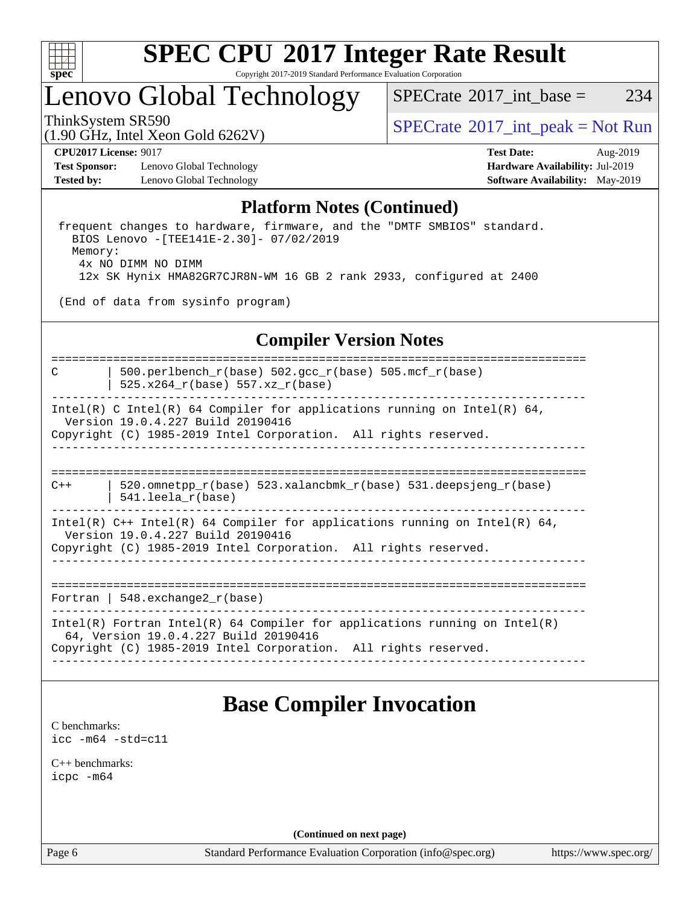

Copyright 2017-2019 Standard Performance Evaluation Corporation

### Lenovo Global Technology

 $SPECTate^{\circ}2017$  int base = 234

(1.90 GHz, Intel Xeon Gold 6262V)

ThinkSystem SR590<br>(1.00 CHz, Intel Year Gald 6262V) [SPECrate](http://www.spec.org/auto/cpu2017/Docs/result-fields.html#SPECrate2017intpeak)®[2017\\_int\\_peak = N](http://www.spec.org/auto/cpu2017/Docs/result-fields.html#SPECrate2017intpeak)ot Run

**[Test Sponsor:](http://www.spec.org/auto/cpu2017/Docs/result-fields.html#TestSponsor)** Lenovo Global Technology **[Hardware Availability:](http://www.spec.org/auto/cpu2017/Docs/result-fields.html#HardwareAvailability)** Jul-2019 **[Tested by:](http://www.spec.org/auto/cpu2017/Docs/result-fields.html#Testedby)** Lenovo Global Technology **[Software Availability:](http://www.spec.org/auto/cpu2017/Docs/result-fields.html#SoftwareAvailability)** May-2019

**[CPU2017 License:](http://www.spec.org/auto/cpu2017/Docs/result-fields.html#CPU2017License)** 9017 **[Test Date:](http://www.spec.org/auto/cpu2017/Docs/result-fields.html#TestDate)** Aug-2019

### **[Platform Notes \(Continued\)](http://www.spec.org/auto/cpu2017/Docs/result-fields.html#PlatformNotes)**

 frequent changes to hardware, firmware, and the "DMTF SMBIOS" standard. BIOS Lenovo -[TEE141E-2.30]- 07/02/2019 Memory: 4x NO DIMM NO DIMM 12x SK Hynix HMA82GR7CJR8N-WM 16 GB 2 rank 2933, configured at 2400

(End of data from sysinfo program)

### **[Compiler Version Notes](http://www.spec.org/auto/cpu2017/Docs/result-fields.html#CompilerVersionNotes)**

============================================================================== C | 500.perlbench\_r(base) 502.gcc\_r(base) 505.mcf\_r(base) | 525.x264 $r(base)$  557.xz $r(base)$ ------------------------------------------------------------------------------ Intel(R) C Intel(R) 64 Compiler for applications running on Intel(R) 64, Version 19.0.4.227 Build 20190416 Copyright (C) 1985-2019 Intel Corporation. All rights reserved.

------------------------------------------------------------------------------

============================================================================== C++ | 520.omnetpp\_r(base) 523.xalancbmk\_r(base) 531.deepsjeng\_r(base) | 541.leela\_r(base)

------------------------------------------------------------------------------ Intel(R) C++ Intel(R) 64 Compiler for applications running on Intel(R) 64, Version 19.0.4.227 Build 20190416

Copyright (C) 1985-2019 Intel Corporation. All rights reserved. ------------------------------------------------------------------------------

==============================================================================

Fortran | 548.exchange2\_r(base)

------------------------------------------------------------------------------ Intel(R) Fortran Intel(R) 64 Compiler for applications running on Intel(R) 64, Version 19.0.4.227 Build 20190416 Copyright (C) 1985-2019 Intel Corporation. All rights reserved. ------------------------------------------------------------------------------

### **[Base Compiler Invocation](http://www.spec.org/auto/cpu2017/Docs/result-fields.html#BaseCompilerInvocation)**

[C benchmarks](http://www.spec.org/auto/cpu2017/Docs/result-fields.html#Cbenchmarks): [icc -m64 -std=c11](http://www.spec.org/cpu2017/results/res2019q3/cpu2017-20190819-16991.flags.html#user_CCbase_intel_icc_64bit_c11_33ee0cdaae7deeeab2a9725423ba97205ce30f63b9926c2519791662299b76a0318f32ddfffdc46587804de3178b4f9328c46fa7c2b0cd779d7a61945c91cd35)

[C++ benchmarks:](http://www.spec.org/auto/cpu2017/Docs/result-fields.html#CXXbenchmarks) [icpc -m64](http://www.spec.org/cpu2017/results/res2019q3/cpu2017-20190819-16991.flags.html#user_CXXbase_intel_icpc_64bit_4ecb2543ae3f1412ef961e0650ca070fec7b7afdcd6ed48761b84423119d1bf6bdf5cad15b44d48e7256388bc77273b966e5eb805aefd121eb22e9299b2ec9d9)

**(Continued on next page)**

Page 6 Standard Performance Evaluation Corporation [\(info@spec.org\)](mailto:info@spec.org) <https://www.spec.org/>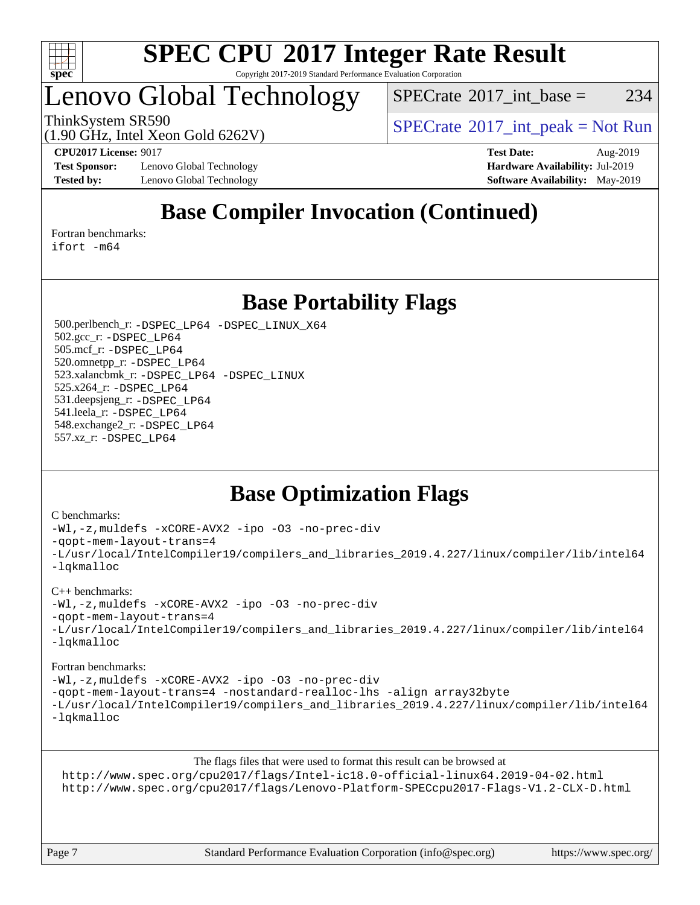

#### **[SPEC CPU](http://www.spec.org/auto/cpu2017/Docs/result-fields.html#SPECCPU2017IntegerRateResult)[2017 Integer Rate Result](http://www.spec.org/auto/cpu2017/Docs/result-fields.html#SPECCPU2017IntegerRateResult)** Copyright 2017-2019 Standard Performance Evaluation Corporation

### Lenovo Global Technology

 $SPECTate@2017\_int\_base = 234$ 

ThinkSystem SR590<br>  $\begin{array}{c}\n\text{SPECrate} \textcirc 2017\_int\_peak = Not Run \\
\text{SPECrate} \textcirc 2017\_int\_peak = Not Run\n\end{array}$  $\begin{array}{c}\n\text{SPECrate} \textcirc 2017\_int\_peak = Not Run \\
\text{SPECrate} \textcirc 2017\_int\_peak = Not Run\n\end{array}$  $\begin{array}{c}\n\text{SPECrate} \textcirc 2017\_int\_peak = Not Run \\
\text{SPECrate} \textcirc 2017\_int\_peak = Not Run\n\end{array}$ 

(1.90 GHz, Intel Xeon Gold 6262V)

**[Test Sponsor:](http://www.spec.org/auto/cpu2017/Docs/result-fields.html#TestSponsor)** Lenovo Global Technology **[Hardware Availability:](http://www.spec.org/auto/cpu2017/Docs/result-fields.html#HardwareAvailability)** Jul-2019 **[Tested by:](http://www.spec.org/auto/cpu2017/Docs/result-fields.html#Testedby)** Lenovo Global Technology **[Software Availability:](http://www.spec.org/auto/cpu2017/Docs/result-fields.html#SoftwareAvailability)** May-2019

**[CPU2017 License:](http://www.spec.org/auto/cpu2017/Docs/result-fields.html#CPU2017License)** 9017 **[Test Date:](http://www.spec.org/auto/cpu2017/Docs/result-fields.html#TestDate)** Aug-2019

### **[Base Compiler Invocation \(Continued\)](http://www.spec.org/auto/cpu2017/Docs/result-fields.html#BaseCompilerInvocation)**

[Fortran benchmarks](http://www.spec.org/auto/cpu2017/Docs/result-fields.html#Fortranbenchmarks):

[ifort -m64](http://www.spec.org/cpu2017/results/res2019q3/cpu2017-20190819-16991.flags.html#user_FCbase_intel_ifort_64bit_24f2bb282fbaeffd6157abe4f878425411749daecae9a33200eee2bee2fe76f3b89351d69a8130dd5949958ce389cf37ff59a95e7a40d588e8d3a57e0c3fd751)

### **[Base Portability Flags](http://www.spec.org/auto/cpu2017/Docs/result-fields.html#BasePortabilityFlags)**

 500.perlbench\_r: [-DSPEC\\_LP64](http://www.spec.org/cpu2017/results/res2019q3/cpu2017-20190819-16991.flags.html#b500.perlbench_r_basePORTABILITY_DSPEC_LP64) [-DSPEC\\_LINUX\\_X64](http://www.spec.org/cpu2017/results/res2019q3/cpu2017-20190819-16991.flags.html#b500.perlbench_r_baseCPORTABILITY_DSPEC_LINUX_X64) 502.gcc\_r: [-DSPEC\\_LP64](http://www.spec.org/cpu2017/results/res2019q3/cpu2017-20190819-16991.flags.html#suite_basePORTABILITY502_gcc_r_DSPEC_LP64) 505.mcf\_r: [-DSPEC\\_LP64](http://www.spec.org/cpu2017/results/res2019q3/cpu2017-20190819-16991.flags.html#suite_basePORTABILITY505_mcf_r_DSPEC_LP64) 520.omnetpp\_r: [-DSPEC\\_LP64](http://www.spec.org/cpu2017/results/res2019q3/cpu2017-20190819-16991.flags.html#suite_basePORTABILITY520_omnetpp_r_DSPEC_LP64) 523.xalancbmk\_r: [-DSPEC\\_LP64](http://www.spec.org/cpu2017/results/res2019q3/cpu2017-20190819-16991.flags.html#suite_basePORTABILITY523_xalancbmk_r_DSPEC_LP64) [-DSPEC\\_LINUX](http://www.spec.org/cpu2017/results/res2019q3/cpu2017-20190819-16991.flags.html#b523.xalancbmk_r_baseCXXPORTABILITY_DSPEC_LINUX) 525.x264\_r: [-DSPEC\\_LP64](http://www.spec.org/cpu2017/results/res2019q3/cpu2017-20190819-16991.flags.html#suite_basePORTABILITY525_x264_r_DSPEC_LP64) 531.deepsjeng\_r: [-DSPEC\\_LP64](http://www.spec.org/cpu2017/results/res2019q3/cpu2017-20190819-16991.flags.html#suite_basePORTABILITY531_deepsjeng_r_DSPEC_LP64) 541.leela\_r: [-DSPEC\\_LP64](http://www.spec.org/cpu2017/results/res2019q3/cpu2017-20190819-16991.flags.html#suite_basePORTABILITY541_leela_r_DSPEC_LP64) 548.exchange2\_r: [-DSPEC\\_LP64](http://www.spec.org/cpu2017/results/res2019q3/cpu2017-20190819-16991.flags.html#suite_basePORTABILITY548_exchange2_r_DSPEC_LP64) 557.xz\_r: [-DSPEC\\_LP64](http://www.spec.org/cpu2017/results/res2019q3/cpu2017-20190819-16991.flags.html#suite_basePORTABILITY557_xz_r_DSPEC_LP64)

### **[Base Optimization Flags](http://www.spec.org/auto/cpu2017/Docs/result-fields.html#BaseOptimizationFlags)**

#### [C benchmarks](http://www.spec.org/auto/cpu2017/Docs/result-fields.html#Cbenchmarks):

```
-Wl,-z,muldefs -xCORE-AVX2 -ipo -O3 -no-prec-div
-qopt-mem-layout-trans=4
-L/usr/local/IntelCompiler19/compilers_and_libraries_2019.4.227/linux/compiler/lib/intel64
-lqkmalloc
```
#### [C++ benchmarks](http://www.spec.org/auto/cpu2017/Docs/result-fields.html#CXXbenchmarks):

```
-Wl,-z,muldefs -xCORE-AVX2 -ipo -O3 -no-prec-div
-qopt-mem-layout-trans=4
-L/usr/local/IntelCompiler19/compilers_and_libraries_2019.4.227/linux/compiler/lib/intel64
-lqkmalloc
```
#### [Fortran benchmarks](http://www.spec.org/auto/cpu2017/Docs/result-fields.html#Fortranbenchmarks):

[-Wl,-z,muldefs](http://www.spec.org/cpu2017/results/res2019q3/cpu2017-20190819-16991.flags.html#user_FCbase_link_force_multiple1_b4cbdb97b34bdee9ceefcfe54f4c8ea74255f0b02a4b23e853cdb0e18eb4525ac79b5a88067c842dd0ee6996c24547a27a4b99331201badda8798ef8a743f577) [-xCORE-AVX2](http://www.spec.org/cpu2017/results/res2019q3/cpu2017-20190819-16991.flags.html#user_FCbase_f-xCORE-AVX2) [-ipo](http://www.spec.org/cpu2017/results/res2019q3/cpu2017-20190819-16991.flags.html#user_FCbase_f-ipo) [-O3](http://www.spec.org/cpu2017/results/res2019q3/cpu2017-20190819-16991.flags.html#user_FCbase_f-O3) [-no-prec-div](http://www.spec.org/cpu2017/results/res2019q3/cpu2017-20190819-16991.flags.html#user_FCbase_f-no-prec-div) [-qopt-mem-layout-trans=4](http://www.spec.org/cpu2017/results/res2019q3/cpu2017-20190819-16991.flags.html#user_FCbase_f-qopt-mem-layout-trans_fa39e755916c150a61361b7846f310bcdf6f04e385ef281cadf3647acec3f0ae266d1a1d22d972a7087a248fd4e6ca390a3634700869573d231a252c784941a8) [-nostandard-realloc-lhs](http://www.spec.org/cpu2017/results/res2019q3/cpu2017-20190819-16991.flags.html#user_FCbase_f_2003_std_realloc_82b4557e90729c0f113870c07e44d33d6f5a304b4f63d4c15d2d0f1fab99f5daaed73bdb9275d9ae411527f28b936061aa8b9c8f2d63842963b95c9dd6426b8a) [-align array32byte](http://www.spec.org/cpu2017/results/res2019q3/cpu2017-20190819-16991.flags.html#user_FCbase_align_array32byte_b982fe038af199962ba9a80c053b8342c548c85b40b8e86eb3cc33dee0d7986a4af373ac2d51c3f7cf710a18d62fdce2948f201cd044323541f22fc0fffc51b6) [-L/usr/local/IntelCompiler19/compilers\\_and\\_libraries\\_2019.4.227/linux/compiler/lib/intel64](http://www.spec.org/cpu2017/results/res2019q3/cpu2017-20190819-16991.flags.html#user_FCbase_qkmalloc_link_0ffe0cb02c68ef1b443a077c7888c10c67ca0d1dd7138472156f06a085bbad385f78d49618ad55dca9db3b1608e84afc2f69b4003b1d1ca498a9fc1462ccefda) [-lqkmalloc](http://www.spec.org/cpu2017/results/res2019q3/cpu2017-20190819-16991.flags.html#user_FCbase_qkmalloc_link_lib_79a818439969f771c6bc311cfd333c00fc099dad35c030f5aab9dda831713d2015205805422f83de8875488a2991c0a156aaa600e1f9138f8fc37004abc96dc5)

[The flags files that were used to format this result can be browsed at](tmsearch)

<http://www.spec.org/cpu2017/flags/Intel-ic18.0-official-linux64.2019-04-02.html> <http://www.spec.org/cpu2017/flags/Lenovo-Platform-SPECcpu2017-Flags-V1.2-CLX-D.html>